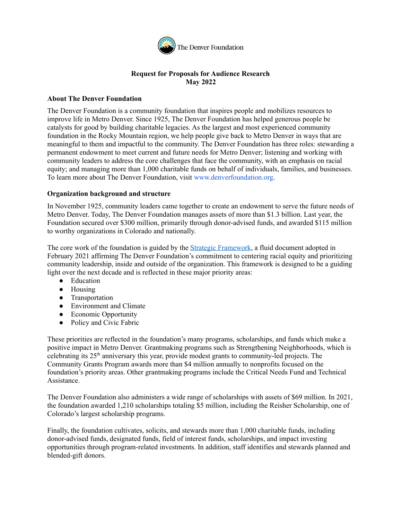

# **Request for Proposals for Audience Research May 2022**

### **About The Denver Foundation**

The Denver Foundation is a community foundation that inspires people and mobilizes resources to improve life in Metro Denver. Since 1925, The Denver Foundation has helped generous people be catalysts for good by building charitable legacies. As the largest and most experienced community foundation in the Rocky Mountain region, we help people give back to Metro Denver in ways that are meaningful to them and impactful to the community. The Denver Foundation has three roles: stewarding a permanent endowment to meet current and future needs for Metro Denver; listening and working with community leaders to address the core challenges that face the community, with an emphasis on racial equity; and managing more than 1,000 charitable funds on behalf of individuals, families, and businesses. To learn more about The Denver Foundation, visit www.denverfoundation.org.

### **Organization background and structure**

In November 1925, community leaders came together to create an endowment to serve the future needs of Metro Denver. Today, The Denver Foundation manages assets of more than \$1.3 billion. Last year, the Foundation secured over \$300 million, primarily through donor-advised funds, and awarded \$115 million to worthy organizations in Colorado and nationally.

The core work of the foundation is guided by the *Strategic [Framework](https://denverfoundation.org/news-initiatives/strategic-framework/)*, a fluid document adopted in February 2021 affirming The Denver Foundation's commitment to centering racial equity and prioritizing community leadership, inside and outside of the organization. This framework is designed to be a guiding light over the next decade and is reflected in these major priority areas:

- Education
- Housing
- Transportation
- Environment and Climate
- Economic Opportunity
- Policy and Civic Fabric

These priorities are reflected in the foundation's many programs, scholarships, and funds which make a positive impact in Metro Denver. Grantmaking programs such as Strengthening Neighborhoods, which is celebrating its 25<sup>th</sup> anniversary this year, provide modest grants to community-led projects. The Community Grants Program awards more than \$4 million annually to nonprofits focused on the foundation's priority areas. Other grantmaking programs include the Critical Needs Fund and Technical **Assistance** 

The Denver Foundation also administers a wide range of scholarships with assets of \$69 million. In 2021, the foundation awarded 1,210 scholarships totaling \$5 million, including the Reisher Scholarship, one of Colorado's largest scholarship programs.

Finally, the foundation cultivates, solicits, and stewards more than 1,000 charitable funds, including donor-advised funds, designated funds, field of interest funds, scholarships, and impact investing opportunities through program-related investments. In addition, staff identifies and stewards planned and blended-gift donors.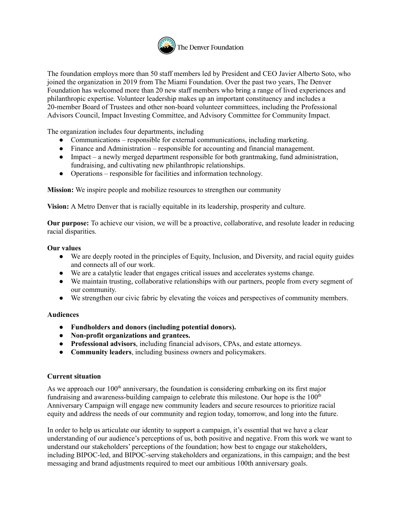

The foundation employs more than 50 staff members led by President and CEO Javier Alberto Soto, who joined the organization in 2019 from The Miami Foundation. Over the past two years, The Denver Foundation has welcomed more than 20 new staff members who bring a range of lived experiences and philanthropic expertise. Volunteer leadership makes up an important constituency and includes a 20-member Board of Trustees and other non-board volunteer committees, including the Professional Advisors Council, Impact Investing Committee, and Advisory Committee for Community Impact.

The organization includes four departments, including

- Communications responsible for external communications, including marketing.
- Finance and Administration responsible for accounting and financial management.
- Impact a newly merged department responsible for both grantmaking, fund administration, fundraising, and cultivating new philanthropic relationships.
- Operations responsible for facilities and information technology.

**Mission:** We inspire people and mobilize resources to strengthen our community

**Vision:** A Metro Denver that is racially equitable in its leadership, prosperity and culture.

**Our purpose:** To achieve our vision, we will be a proactive, collaborative, and resolute leader in reducing racial disparities.

#### **Our values**

- We are deeply rooted in the principles of Equity, Inclusion, and Diversity, and racial equity guides and connects all of our work.
- We are a catalytic leader that engages critical issues and accelerates systems change.
- We maintain trusting, collaborative relationships with our partners, people from every segment of our community.
- We strengthen our civic fabric by elevating the voices and perspectives of community members.

### **Audiences**

- **Fundholders and donors (including potential donors).**
- **Non-profit organizations and grantees.**
- **Professional advisors**, including financial advisors, CPAs, and estate attorneys.
- **Community leaders**, including business owners and policymakers.

### **Current situation**

As we approach our 100<sup>th</sup> anniversary, the foundation is considering embarking on its first major fundraising and awareness-building campaign to celebrate this milestone. Our hope is the 100<sup>th</sup> Anniversary Campaign will engage new community leaders and secure resources to prioritize racial equity and address the needs of our community and region today, tomorrow, and long into the future.

In order to help us articulate our identity to support a campaign, it's essential that we have a clear understanding of our audience's perceptions of us, both positive and negative. From this work we want to understand our stakeholders' perceptions of the foundation; how best to engage our stakeholders, including BIPOC-led, and BIPOC-serving stakeholders and organizations, in this campaign; and the best messaging and brand adjustments required to meet our ambitious 100th anniversary goals.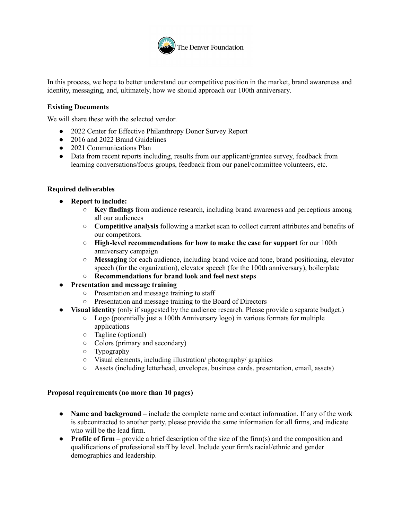

In this process, we hope to better understand our competitive position in the market, brand awareness and identity, messaging, and, ultimately, how we should approach our 100th anniversary.

### **Existing Documents**

We will share these with the selected vendor.

- 2022 Center for Effective Philanthropy Donor Survey Report
- 2016 and 2022 Brand Guidelines
- 2021 Communications Plan
- Data from recent reports including, results from our applicant/grantee survey, feedback from learning conversations/focus groups, feedback from our panel/committee volunteers, etc.

### **Required deliverables**

- **● Report to include:**
	- **○ Key findings** from audience research, including brand awareness and perceptions among all our audiences
	- **○ Competitive analysis** following a market scan to collect current attributes and benefits of our competitors.
	- **○ High-level recommendations for how to make the case for support** for our 100th anniversary campaign
	- **○ Messaging** for each audience, including brand voice and tone, brand positioning, elevator speech (for the organization), elevator speech (for the 100th anniversary), boilerplate
	- **○ Recommendations for brand look and feel next steps**
- **● Presentation and message training**
	- **○** Presentation and message training to staff
	- **○** Presentation and message training to the Board of Directors
- **● Visual identity** (only if suggested by the audience research. Please provide a separate budget.)
	- Logo (potentially just a 100th Anniversary logo) in various formats for multiple applications
		- Tagline (optional)
		- Colors (primary and secondary)
		- Typography
		- Visual elements, including illustration/ photography/ graphics
		- Assets (including letterhead, envelopes, business cards, presentation, email, assets)

### **Proposal requirements (no more than 10 pages)**

- **Name and background** include the complete name and contact information. If any of the work is subcontracted to another party, please provide the same information for all firms, and indicate who will be the lead firm.
- **• Profile of firm** provide a brief description of the size of the firm(s) and the composition and qualifications of professional staff by level. Include your firm's racial/ethnic and gender demographics and leadership.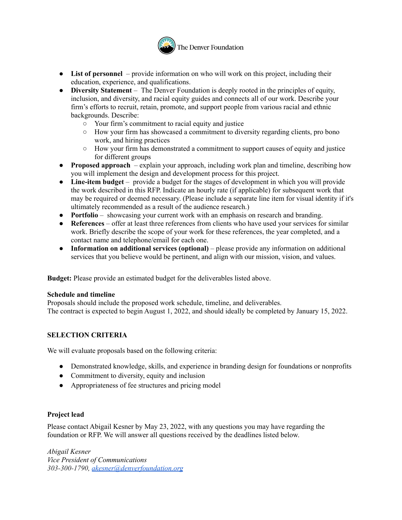

- **List of personnel** provide information on who will work on this project, including their education, experience, and qualifications.
- **Diversity Statement** The Denver Foundation is deeply rooted in the principles of equity, inclusion, and diversity, and racial equity guides and connects all of our work. Describe your firm's efforts to recruit, retain, promote, and support people from various racial and ethnic backgrounds. Describe:
	- Your firm's commitment to racial equity and justice
	- How your firm has showcased a commitment to diversity regarding clients, pro bono work, and hiring practices
	- How your firm has demonstrated a commitment to support causes of equity and justice for different groups
- **Proposed approach** explain your approach, including work plan and timeline, describing how you will implement the design and development process for this project.
- **Line-item budget** provide a budget for the stages of development in which you will provide the work described in this RFP. Indicate an hourly rate (if applicable) for subsequent work that may be required or deemed necessary. (Please include a separate line item for visual identity if it's ultimately recommended as a result of the audience research.)
- **Portfolio** showcasing your current work with an emphasis on research and branding.
- **References** offer at least three references from clients who have used your services for similar work. Briefly describe the scope of your work for these references, the year completed, and a contact name and telephone/email for each one.
- **Information on additional services (optional)** please provide any information on additional services that you believe would be pertinent, and align with our mission, vision, and values.

**Budget:** Please provide an estimated budget for the deliverables listed above.

### **Schedule and timeline**

Proposals should include the proposed work schedule, timeline, and deliverables. The contract is expected to begin August 1, 2022, and should ideally be completed by January 15, 2022.

### **SELECTION CRITERIA**

We will evaluate proposals based on the following criteria:

- Demonstrated knowledge, skills, and experience in branding design for foundations or nonprofits
- Commitment to diversity, equity and inclusion
- Appropriateness of fee structures and pricing model

### **Project lead**

Please contact Abigail Kesner by May 23, 2022, with any questions you may have regarding the foundation or RFP. We will answer all questions received by the deadlines listed below.

*Abigail Kesner Vice President of Communications 303-300-1790, [akesner@denverfoundation.org](mailto:akesner@denverfoundation.org)*